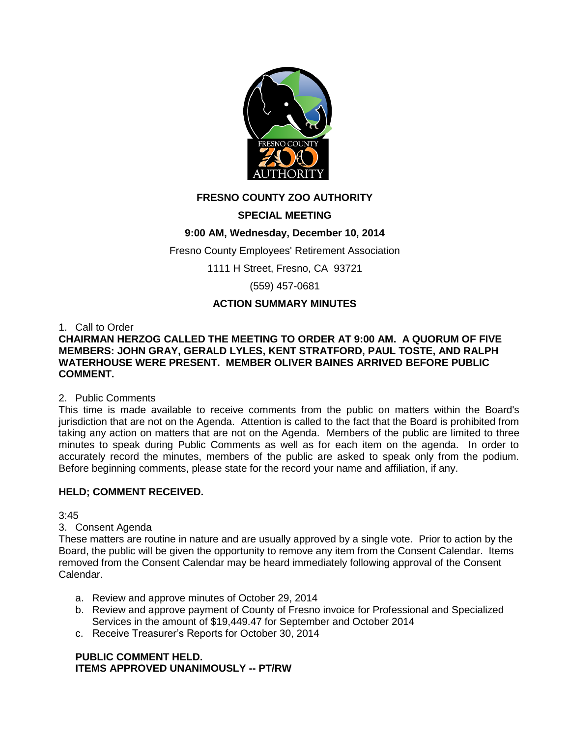

# **FRESNO COUNTY ZOO AUTHORITY**

# **SPECIAL MEETING**

# **9:00 AM, Wednesday, December 10, 2014**

Fresno County Employees' Retirement Association

1111 H Street, Fresno, CA 93721

(559) 457-0681

# **ACTION SUMMARY MINUTES**

1. Call to Order

### **CHAIRMAN HERZOG CALLED THE MEETING TO ORDER AT 9:00 AM. A QUORUM OF FIVE MEMBERS: JOHN GRAY, GERALD LYLES, KENT STRATFORD, PAUL TOSTE, AND RALPH WATERHOUSE WERE PRESENT. MEMBER OLIVER BAINES ARRIVED BEFORE PUBLIC COMMENT.**

# 2. Public Comments

This time is made available to receive comments from the public on matters within the Board's jurisdiction that are not on the Agenda. Attention is called to the fact that the Board is prohibited from taking any action on matters that are not on the Agenda. Members of the public are limited to three minutes to speak during Public Comments as well as for each item on the agenda. In order to accurately record the minutes, members of the public are asked to speak only from the podium. Before beginning comments, please state for the record your name and affiliation, if any.

# **HELD; COMMENT RECEIVED.**

 $3:45$ 

# 3. Consent Agenda

These matters are routine in nature and are usually approved by a single vote. Prior to action by the Board, the public will be given the opportunity to remove any item from the Consent Calendar. Items removed from the Consent Calendar may be heard immediately following approval of the Consent Calendar.

- a. Review and approve minutes of October 29, 2014
- b. Review and approve payment of County of Fresno invoice for Professional and Specialized Services in the amount of \$19,449.47 for September and October 2014
- c. Receive Treasurer's Reports for October 30, 2014

# **PUBLIC COMMENT HELD. ITEMS APPROVED UNANIMOUSLY -- PT/RW**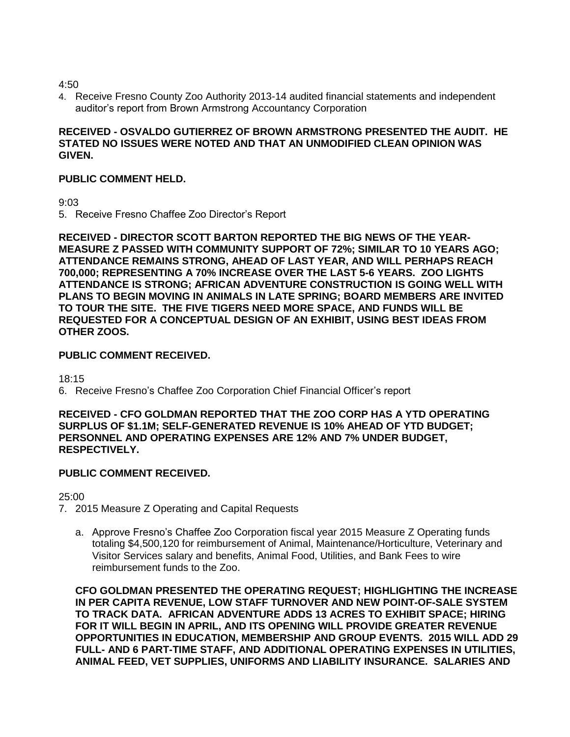4:50

4. Receive Fresno County Zoo Authority 2013-14 audited financial statements and independent auditor's report from Brown Armstrong Accountancy Corporation

# **RECEIVED - OSVALDO GUTIERREZ OF BROWN ARMSTRONG PRESENTED THE AUDIT. HE STATED NO ISSUES WERE NOTED AND THAT AN UNMODIFIED CLEAN OPINION WAS GIVEN.**

# **PUBLIC COMMENT HELD.**

9:03

5. Receive Fresno Chaffee Zoo Director's Report

**RECEIVED - DIRECTOR SCOTT BARTON REPORTED THE BIG NEWS OF THE YEAR-MEASURE Z PASSED WITH COMMUNITY SUPPORT OF 72%; SIMILAR TO 10 YEARS AGO; ATTENDANCE REMAINS STRONG, AHEAD OF LAST YEAR, AND WILL PERHAPS REACH 700,000; REPRESENTING A 70% INCREASE OVER THE LAST 5-6 YEARS. ZOO LIGHTS ATTENDANCE IS STRONG; AFRICAN ADVENTURE CONSTRUCTION IS GOING WELL WITH PLANS TO BEGIN MOVING IN ANIMALS IN LATE SPRING; BOARD MEMBERS ARE INVITED TO TOUR THE SITE. THE FIVE TIGERS NEED MORE SPACE, AND FUNDS WILL BE REQUESTED FOR A CONCEPTUAL DESIGN OF AN EXHIBIT, USING BEST IDEAS FROM OTHER ZOOS.** 

# **PUBLIC COMMENT RECEIVED.**

18:15

6. Receive Fresno's Chaffee Zoo Corporation Chief Financial Officer's report

#### **RECEIVED - CFO GOLDMAN REPORTED THAT THE ZOO CORP HAS A YTD OPERATING SURPLUS OF \$1.1M; SELF-GENERATED REVENUE IS 10% AHEAD OF YTD BUDGET; PERSONNEL AND OPERATING EXPENSES ARE 12% AND 7% UNDER BUDGET, RESPECTIVELY.**

# **PUBLIC COMMENT RECEIVED.**

25:00

7. 2015 Measure Z Operating and Capital Requests

a. Approve Fresno's Chaffee Zoo Corporation fiscal year 2015 Measure Z Operating funds totaling \$4,500,120 for reimbursement of Animal, Maintenance/Horticulture, Veterinary and Visitor Services salary and benefits, Animal Food, Utilities, and Bank Fees to wire reimbursement funds to the Zoo.

**CFO GOLDMAN PRESENTED THE OPERATING REQUEST; HIGHLIGHTING THE INCREASE IN PER CAPITA REVENUE, LOW STAFF TURNOVER AND NEW POINT-OF-SALE SYSTEM TO TRACK DATA. AFRICAN ADVENTURE ADDS 13 ACRES TO EXHIBIT SPACE; HIRING FOR IT WILL BEGIN IN APRIL, AND ITS OPENING WILL PROVIDE GREATER REVENUE OPPORTUNITIES IN EDUCATION, MEMBERSHIP AND GROUP EVENTS. 2015 WILL ADD 29 FULL- AND 6 PART-TIME STAFF, AND ADDITIONAL OPERATING EXPENSES IN UTILITIES, ANIMAL FEED, VET SUPPLIES, UNIFORMS AND LIABILITY INSURANCE. SALARIES AND**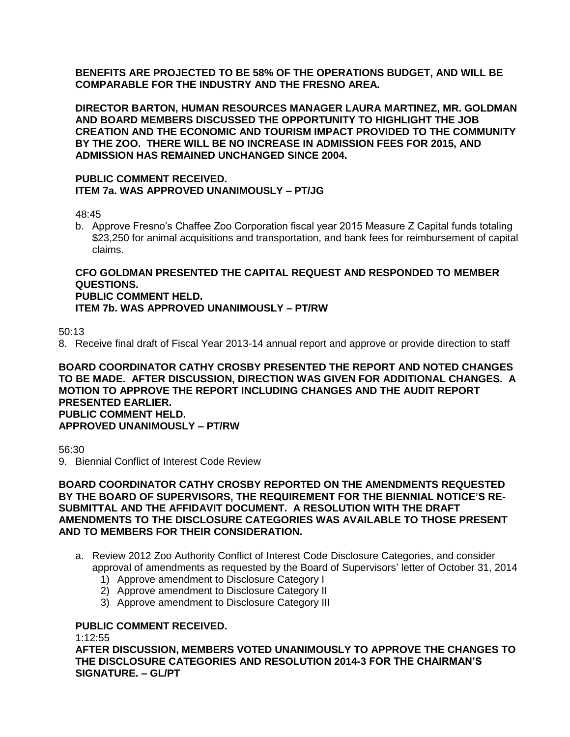**BENEFITS ARE PROJECTED TO BE 58% OF THE OPERATIONS BUDGET, AND WILL BE COMPARABLE FOR THE INDUSTRY AND THE FRESNO AREA.** 

**DIRECTOR BARTON, HUMAN RESOURCES MANAGER LAURA MARTINEZ, MR. GOLDMAN AND BOARD MEMBERS DISCUSSED THE OPPORTUNITY TO HIGHLIGHT THE JOB CREATION AND THE ECONOMIC AND TOURISM IMPACT PROVIDED TO THE COMMUNITY BY THE ZOO. THERE WILL BE NO INCREASE IN ADMISSION FEES FOR 2015, AND ADMISSION HAS REMAINED UNCHANGED SINCE 2004.**

#### **PUBLIC COMMENT RECEIVED. ITEM 7a. WAS APPROVED UNANIMOUSLY – PT/JG**

48:45

b. Approve Fresno's Chaffee Zoo Corporation fiscal year 2015 Measure Z Capital funds totaling \$23,250 for animal acquisitions and transportation, and bank fees for reimbursement of capital claims.

#### **CFO GOLDMAN PRESENTED THE CAPITAL REQUEST AND RESPONDED TO MEMBER QUESTIONS. PUBLIC COMMENT HELD. ITEM 7b. WAS APPROVED UNANIMOUSLY – PT/RW**

50:13

8. Receive final draft of Fiscal Year 2013-14 annual report and approve or provide direction to staff

#### **BOARD COORDINATOR CATHY CROSBY PRESENTED THE REPORT AND NOTED CHANGES TO BE MADE. AFTER DISCUSSION, DIRECTION WAS GIVEN FOR ADDITIONAL CHANGES. A MOTION TO APPROVE THE REPORT INCLUDING CHANGES AND THE AUDIT REPORT PRESENTED EARLIER. PUBLIC COMMENT HELD. APPROVED UNANIMOUSLY – PT/RW**

56:30

9. Biennial Conflict of Interest Code Review

#### **BOARD COORDINATOR CATHY CROSBY REPORTED ON THE AMENDMENTS REQUESTED BY THE BOARD OF SUPERVISORS, THE REQUIREMENT FOR THE BIENNIAL NOTICE'S RE-SUBMITTAL AND THE AFFIDAVIT DOCUMENT. A RESOLUTION WITH THE DRAFT AMENDMENTS TO THE DISCLOSURE CATEGORIES WAS AVAILABLE TO THOSE PRESENT AND TO MEMBERS FOR THEIR CONSIDERATION.**

- a. Review 2012 Zoo Authority Conflict of Interest Code Disclosure Categories, and consider approval of amendments as requested by the Board of Supervisors' letter of October 31, 2014
	- 1) Approve amendment to Disclosure Category I
	- 2) Approve amendment to Disclosure Category II
	- 3) Approve amendment to Disclosure Category III

# **PUBLIC COMMENT RECEIVED.**

1:12:55

**AFTER DISCUSSION, MEMBERS VOTED UNANIMOUSLY TO APPROVE THE CHANGES TO THE DISCLOSURE CATEGORIES AND RESOLUTION 2014-3 FOR THE CHAIRMAN'S SIGNATURE. – GL/PT**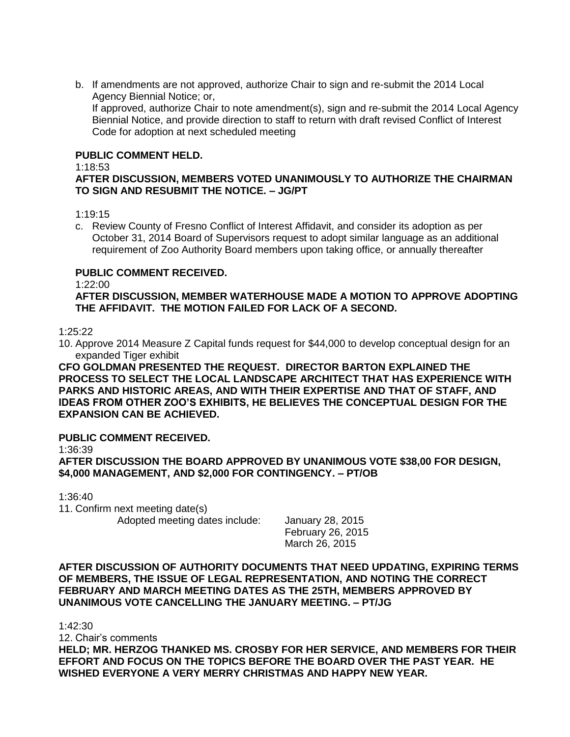b. If amendments are not approved, authorize Chair to sign and re-submit the 2014 Local Agency Biennial Notice; or,

If approved, authorize Chair to note amendment(s), sign and re-submit the 2014 Local Agency Biennial Notice, and provide direction to staff to return with draft revised Conflict of Interest Code for adoption at next scheduled meeting

#### **PUBLIC COMMENT HELD.**

#### 1:18:53

# **AFTER DISCUSSION, MEMBERS VOTED UNANIMOUSLY TO AUTHORIZE THE CHAIRMAN TO SIGN AND RESUBMIT THE NOTICE. – JG/PT**

1:19:15

c. Review County of Fresno Conflict of Interest Affidavit, and consider its adoption as per October 31, 2014 Board of Supervisors request to adopt similar language as an additional requirement of Zoo Authority Board members upon taking office, or annually thereafter

### **PUBLIC COMMENT RECEIVED.**

1:22:00

**AFTER DISCUSSION, MEMBER WATERHOUSE MADE A MOTION TO APPROVE ADOPTING THE AFFIDAVIT. THE MOTION FAILED FOR LACK OF A SECOND.** 

#### 1:25:22

10. Approve 2014 Measure Z Capital funds request for \$44,000 to develop conceptual design for an expanded Tiger exhibit

**CFO GOLDMAN PRESENTED THE REQUEST. DIRECTOR BARTON EXPLAINED THE PROCESS TO SELECT THE LOCAL LANDSCAPE ARCHITECT THAT HAS EXPERIENCE WITH PARKS AND HISTORIC AREAS, AND WITH THEIR EXPERTISE AND THAT OF STAFF, AND IDEAS FROM OTHER ZOO'S EXHIBITS, HE BELIEVES THE CONCEPTUAL DESIGN FOR THE EXPANSION CAN BE ACHIEVED.** 

### **PUBLIC COMMENT RECEIVED.**

1:36:39

**AFTER DISCUSSION THE BOARD APPROVED BY UNANIMOUS VOTE \$38,00 FOR DESIGN, \$4,000 MANAGEMENT, AND \$2,000 FOR CONTINGENCY. – PT/OB**

1:36:40

11. Confirm next meeting date(s) Adopted meeting dates include: January 28, 2015

February 26, 2015 March 26, 2015

**AFTER DISCUSSION OF AUTHORITY DOCUMENTS THAT NEED UPDATING, EXPIRING TERMS OF MEMBERS, THE ISSUE OF LEGAL REPRESENTATION, AND NOTING THE CORRECT FEBRUARY AND MARCH MEETING DATES AS THE 25TH, MEMBERS APPROVED BY UNANIMOUS VOTE CANCELLING THE JANUARY MEETING. – PT/JG**

1:42:30

12. Chair's comments

**HELD; MR. HERZOG THANKED MS. CROSBY FOR HER SERVICE, AND MEMBERS FOR THEIR EFFORT AND FOCUS ON THE TOPICS BEFORE THE BOARD OVER THE PAST YEAR. HE WISHED EVERYONE A VERY MERRY CHRISTMAS AND HAPPY NEW YEAR.**